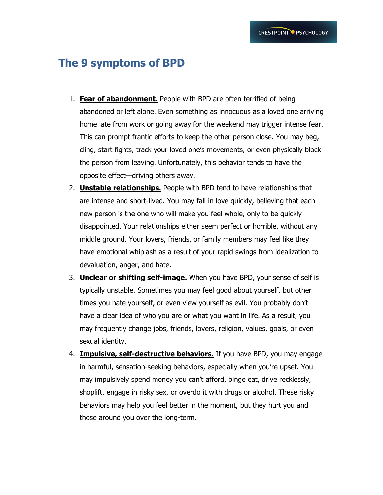## **The 9 symptoms of BPD**

- 1. **Fear of abandonment.** People with BPD are often terrified of being abandoned or left alone. Even something as innocuous as a loved one arriving home late from work or going away for the weekend may trigger intense fear. This can prompt frantic efforts to keep the other person close. You may beg, cling, start fights, track your loved one's movements, or even physically block the person from leaving. Unfortunately, this behavior tends to have the opposite effect—driving others away.
- 2. **Unstable relationships.** People with BPD tend to have relationships that are intense and short-lived. You may fall in love quickly, believing that each new person is the one who will make you feel whole, only to be quickly disappointed. Your relationships either seem perfect or horrible, without any middle ground. Your lovers, friends, or family members may feel like they have emotional whiplash as a result of your rapid swings from idealization to devaluation, anger, and hate.
- 3. **Unclear or shifting self-image.** When you have BPD, your sense of self is typically unstable. Sometimes you may feel good about yourself, but other times you hate yourself, or even view yourself as evil. You probably don't have a clear idea of who you are or what you want in life. As a result, you may frequently change jobs, friends, lovers, religion, values, goals, or even sexual identity.
- 4. **Impulsive, self-destructive behaviors.** If you have BPD, you may engage in harmful, sensation-seeking behaviors, especially when you're upset. You may impulsively spend money you can't afford, binge eat, drive recklessly, shoplift, engage in risky sex, or overdo it with drugs or alcohol. These risky behaviors may help you feel better in the moment, but they hurt you and those around you over the long-term.